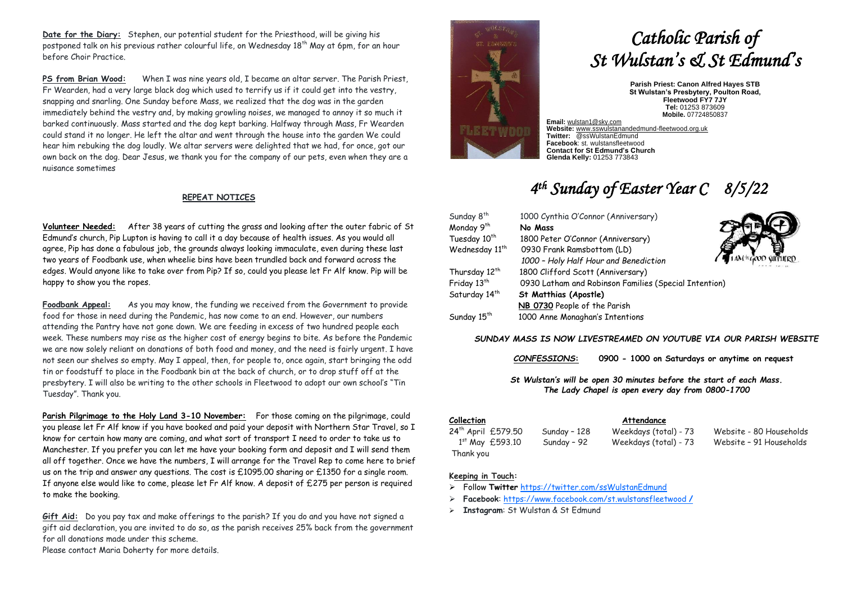**Date for the Diary:** Stephen, our potential student for the Priesthood, will be giving his postponed talk on his previous rather colourful life, on Wednesday 18th May at 6pm, for an hour before Choir Practice.

**PS from Brian Wood:** When I was nine years old, I became an altar server. The Parish Priest, Fr Wearden, had a very large black dog which used to terrify us if it could get into the vestry, snapping and snarling. One Sunday before Mass, we realized that the dog was in the garden immediately behind the vestry and, by making growling noises, we managed to annoy it so much it barked continuously. Mass started and the dog kept barking. Halfway through Mass, Fr Wearden could stand it no longer. He left the altar and went through the house into the garden We could hear him rebuking the dog loudly. We altar servers were delighted that we had, for once, got our own back on the dog. Dear Jesus, we thank you for the company of our pets, even when they are a nuisance sometimes

#### **REPEAT NOTICES**

**Volunteer Needed:** After 38 years of cutting the grass and looking after the outer fabric of St Edmund's church, Pip Lupton is having to call it a day because of health issues. As you would all agree, Pip has done a fabulous job, the grounds always looking immaculate, even during these last two years of Foodbank use, when wheelie bins have been trundled back and forward across the edges. Would anyone like to take over from Pip? If so, could you please let Fr Alf know. Pip will be happy to show you the ropes.

**Foodbank Appeal:** As you may know, the funding we received from the Government to provide food for those in need during the Pandemic, has now come to an end. However, our numbers attending the Pantry have not gone down. We are feeding in excess of two hundred people each week. These numbers may rise as the higher cost of energy begins to bite. As before the Pandemic we are now solely reliant on donations of both food and money, and the need is fairly urgent. I have not seen our shelves so empty. May I appeal, then, for people to, once again, start bringing the odd tin or foodstuff to place in the Foodbank bin at the back of church, or to drop stuff off at the presbytery. I will also be writing to the other schools in Fleetwood to adopt our own school's "Tin Tuesday". Thank you.

**Parish Pilgrimage to the Holy Land 3-10 November:** For those coming on the pilgrimage, could you please let Fr Alf know if you have booked and paid your deposit with Northern Star Travel, so I know for certain how many are coming, and what sort of transport I need to order to take us to Manchester. If you prefer you can let me have your booking form and deposit and I will send them all off together. Once we have the numbers, I will arrange for the Travel Rep to come here to brief us on the trip and answer any questions. The cost is  $£1095.00$  sharing or  $£1350$  for a single room. If anyone else would like to come, please let Fr Alf know. A deposit of £275 per person is required to make the booking.

**Gift Aid:** Do you pay tax and make offerings to the parish? If you do and you have not signed a gift aid declaration, you are invited to do so, as the parish receives 25% back from the government for all donations made under this scheme.

Please contact Maria Doherty for more details.

# *Catholic Parish of St Wulstan's & St Edmund's*

**Parish Priest: Canon Alfred Hayes STB St Wulstan's Presbytery, Poulton Road, Fleetwood FY7 7JY Tel:** 01253 873609 **Mobile.** 07724850837

**Email:** [wulstan1@sky.com](mailto:wulstan1@sky.com) **Website:** [www.sswulstanandedmund-fleetwood.org.uk](http://www.sswulstanandedmund-fleetwood.org.uk/) **Twitter:** @ssWulstanEdmund **Facebook**: st. wulstansfleetwood **Contact for St Edmund's Church Glenda Kelly:** 01253 773843

## *4 th Sunday of Easter Year C 8/5/22*

| Sunday 8 <sup>th</sup>     | 1000 Cynthia O'Connor (Anniversary)                   |              |
|----------------------------|-------------------------------------------------------|--------------|
| Monday 9th                 | No Mass                                               |              |
| Tuesday 10th               | 1800 Peter O'Connor (Anniversary)                     |              |
| Wednesday 11 <sup>th</sup> | 0930 Frank Ramsbottom (LD)                            |              |
|                            | 1000 - Holy Half Hour and Benediction                 | COD SHIFHERD |
| Thursday 12 <sup>th</sup>  | 1800 Clifford Scott (Anniversary)                     |              |
| Friday 13th                | 0930 Latham and Robinson Families (Special Intention) |              |
| Saturday 14 <sup>th</sup>  | <b>St Matthias (Apostle)</b>                          |              |
|                            | NB 0730 People of the Parish                          |              |
| Sunday 15 <sup>th</sup>    | 1000 Anne Monaghan's Intentions                       |              |

#### *SUNDAY MASS IS NOW LIVESTREAMED ON YOUTUBE VIA OUR PARISH WEBSITE*

*CONFESSIONS***: 0900 - 1000 on Saturdays or anytime on request**

*St Wulstan's will be open 30 minutes before the start of each Mass. The Lady Chapel is open every day from 0800-1700*

#### **Collection Attendance** 24th April £579.50 Sunday – 128 Weekdays (total) - 73 Website - 80 Households 1st May £593.10

Sunday - 92 Weekdays (total) - 73 Website - 91 Households Thank you

#### **Keeping in Touch:**

- ➢ Follow **Twitter** <https://twitter.com/ssWulstanEdmund>
- ➢ **Facebook**: https://www.facebook.com/st.wulstansfleetwood **/**
- ➢ **Instagram**: St Wulstan & St Edmund